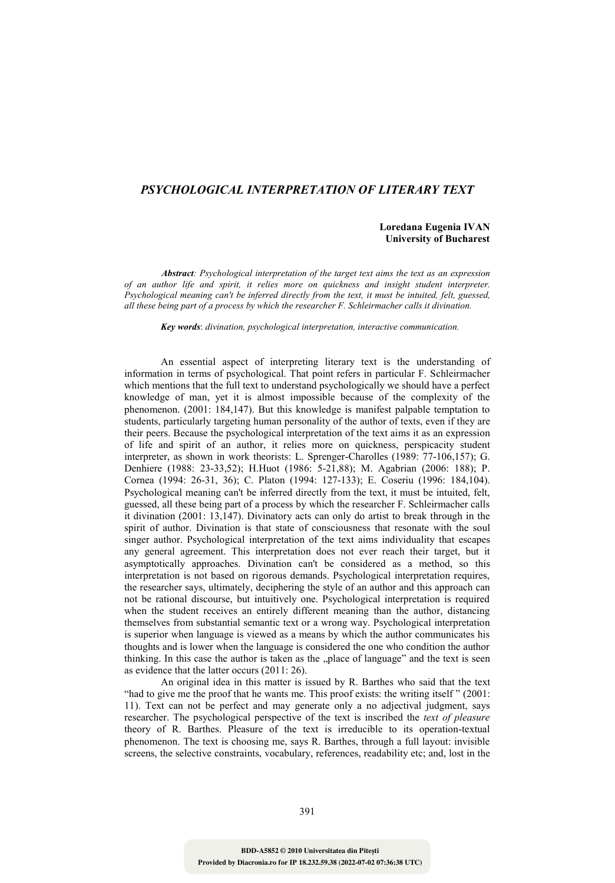## *PSYCHOLOGICAL INTERPRETATION OF LITERARY TEXT*

## **Loredana Eugenia IVAN University of Bucharest**

*Abstract: Psychological interpretation of the target text aims the text as an expression of an author life and spirit, it relies more on quickness and insight student interpreter. Psychological meaning can't be inferred directly from the text, it must be intuited, felt, guessed, all these being part of a process by which the researcher F. Schleirmacher calls it divination.*

*Key words*: *divination, psychological interpretation, interactive communication.*

An essential aspect of interpreting literary text is the understanding of information in terms of psychological. That point refers in particular F. Schleirmacher which mentions that the full text to understand psychologically we should have a perfect knowledge of man, yet it is almost impossible because of the complexity of the phenomenon. (2001: 184,147). But this knowledge is manifest palpable temptation to students, particularly targeting human personality of the author of texts, even if they are their peers. Because the psychological interpretation of the text aims it as an expression of life and spirit of an author, it relies more on quickness, perspicacity student interpreter, as shown in work theorists: L. Sprenger-Charolles (1989: 77-106,157); G. Denhiere (1988: 23-33,52); H.Huot (1986: 5-21,88); M. Agabrian (2006: 188); P. Cornea (1994: 26-31, 36); C. Platon (1994: 127-133); E. Coseriu (1996: 184,104). Psychological meaning can't be inferred directly from the text, it must be intuited, felt, guessed, all these being part of a process by which the researcher F. Schleirmacher calls it divination (2001: 13,147). Divinatory acts can only do artist to break through in the spirit of author. Divination is that state of consciousness that resonate with the soul singer author. Psychological interpretation of the text aims individuality that escapes any general agreement. This interpretation does not ever reach their target, but it asymptotically approaches. Divination can't be considered as a method, so this interpretation is not based on rigorous demands. Psychological interpretation requires, the researcher says, ultimately, deciphering the style of an author and this approach can not be rational discourse, but intuitively one. Psychological interpretation is required when the student receives an entirely different meaning than the author, distancing themselves from substantial semantic text or a wrong way. Psychological interpretation is superior when language is viewed as a means by which the author communicates his thoughts and is lower when the language is considered the one who condition the author thinking. In this case the author is taken as the "place of language" and the text is seen as evidence that the latter occurs (2011: 26).

An original idea in this matter is issued by R. Barthes who said that the text "had to give me the proof that he wants me. This proof exists: the writing itself" (2001: 11). Text can not be perfect and may generate only a no adjectival judgment, says researcher. The psychological perspective of the text is inscribed the *text of pleasure* theory of R. Barthes. Pleasure of the text is irreducible to its operation-textual phenomenon. The text is choosing me, says R. Barthes, through a full layout: invisible screens, the selective constraints, vocabulary, references, readability etc; and, lost in the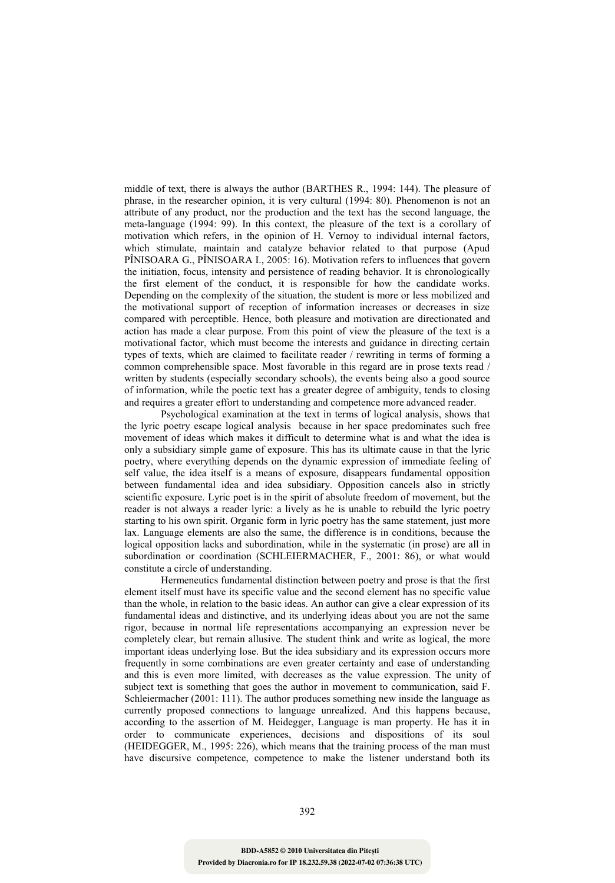middle of text, there is always the author (BARTHES R., 1994: 144). The pleasure of phrase, in the researcher opinion, it is very cultural (1994: 80). Phenomenon is not an attribute of any product, nor the production and the text has the second language, the meta-language (1994: 99). In this context, the pleasure of the text is a corollary of motivation which refers, in the opinion of H. Vernoy to individual internal factors, which stimulate, maintain and catalyze behavior related to that purpose (Apud PÎNISOARA G., PÎNISOARA I., 2005: 16). Motivation refers to influences that govern the initiation, focus, intensity and persistence of reading behavior. It is chronologically the first element of the conduct, it is responsible for how the candidate works. Depending on the complexity of the situation, the student is more or less mobilized and the motivational support of reception of information increases or decreases in size compared with perceptible. Hence, both pleasure and motivation are directionated and action has made a clear purpose. From this point of view the pleasure of the text is a motivational factor, which must become the interests and guidance in directing certain types of texts, which are claimed to facilitate reader / rewriting in terms of forming a common comprehensible space. Most favorable in this regard are in prose texts read / written by students (especially secondary schools), the events being also a good source of information, while the poetic text has a greater degree of ambiguity, tends to closing and requires a greater effort to understanding and competence more advanced reader.

Psychological examination at the text in terms of logical analysis, shows that the lyric poetry escape logical analysis because in her space predominates such free movement of ideas which makes it difficult to determine what is and what the idea is only a subsidiary simple game of exposure. This has its ultimate cause in that the lyric poetry, where everything depends on the dynamic expression of immediate feeling of self value, the idea itself is a means of exposure, disappears fundamental opposition between fundamental idea and idea subsidiary. Opposition cancels also in strictly scientific exposure. Lyric poet is in the spirit of absolute freedom of movement, but the reader is not always a reader lyric: a lively as he is unable to rebuild the lyric poetry starting to his own spirit. Organic form in lyric poetry has the same statement, just more lax. Language elements are also the same, the difference is in conditions, because the logical opposition lacks and subordination, while in the systematic (in prose) are all in subordination or coordination (SCHLEIERMACHER, F., 2001: 86), or what would constitute a circle of understanding.

Hermeneutics fundamental distinction between poetry and prose is that the first element itself must have its specific value and the second element has no specific value than the whole, in relation to the basic ideas. An author can give a clear expression of its fundamental ideas and distinctive, and its underlying ideas about you are not the same rigor, because in normal life representations accompanying an expression never be completely clear, but remain allusive. The student think and write as logical, the more important ideas underlying lose. But the idea subsidiary and its expression occurs more frequently in some combinations are even greater certainty and ease of understanding and this is even more limited, with decreases as the value expression. The unity of subject text is something that goes the author in movement to communication, said F. Schleiermacher (2001: 111). The author produces something new inside the language as currently proposed connections to language unrealized. And this happens because, according to the assertion of M. Heidegger, Language is man property. He has it in order to communicate experiences, decisions and dispositions of its soul (HEIDEGGER, M., 1995: 226), which means that the training process of the man must have discursive competence, competence to make the listener understand both its